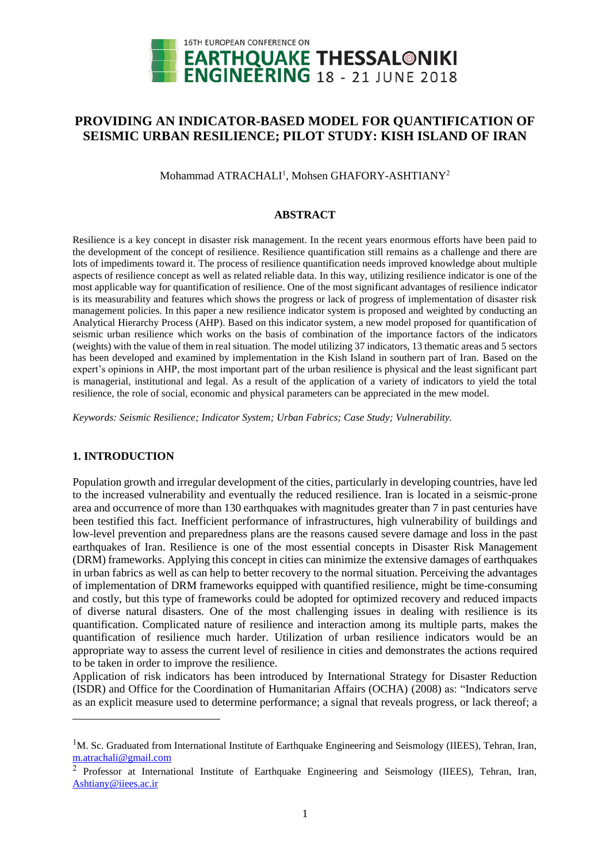

# **PROVIDING AN INDICATOR-BASED MODEL FOR QUANTIFICATION OF SEISMIC URBAN RESILIENCE; PILOT STUDY: KISH ISLAND OF IRAN**

Mohammad ATRACHALI<sup>1</sup>, Mohsen GHAFORY-ASHTIANY<sup>2</sup>

### **ABSTRACT**

Resilience is a key concept in disaster risk management. In the recent years enormous efforts have been paid to the development of the concept of resilience. Resilience quantification still remains as a challenge and there are lots of impediments toward it. The process of resilience quantification needs improved knowledge about multiple aspects of resilience concept as well as related reliable data. In this way, utilizing resilience indicator is one of the most applicable way for quantification of resilience. One of the most significant advantages of resilience indicator is its measurability and features which shows the progress or lack of progress of implementation of disaster risk management policies. In this paper a new resilience indicator system is proposed and weighted by conducting an Analytical Hierarchy Process (AHP). Based on this indicator system, a new model proposed for quantification of seismic urban resilience which works on the basis of combination of the importance factors of the indicators (weights) with the value of them in real situation. The model utilizing 37 indicators, 13 thematic areas and 5 sectors has been developed and examined by implementation in the Kish Island in southern part of Iran. Based on the expert's opinions in AHP, the most important part of the urban resilience is physical and the least significant part is managerial, institutional and legal. As a result of the application of a variety of indicators to yield the total resilience, the role of social, economic and physical parameters can be appreciated in the mew model.

*Keywords: Seismic Resilience; Indicator System; Urban Fabrics; Case Study; Vulnerability.*

# **1. INTRODUCTION**

 $\overline{a}$ 

Population growth and irregular development of the cities, particularly in developing countries, have led to the increased vulnerability and eventually the reduced resilience. Iran is located in a seismic-prone area and occurrence of more than 130 earthquakes with magnitudes greater than 7 in past centuries have been testified this fact. Inefficient performance of infrastructures, high vulnerability of buildings and low-level prevention and preparedness plans are the reasons caused severe damage and loss in the past earthquakes of Iran. Resilience is one of the most essential concepts in Disaster Risk Management (DRM) frameworks. Applying this concept in cities can minimize the extensive damages of earthquakes in urban fabrics as well as can help to better recovery to the normal situation. Perceiving the advantages of implementation of DRM frameworks equipped with quantified resilience, might be time-consuming and costly, but this type of frameworks could be adopted for optimized recovery and reduced impacts of diverse natural disasters. One of the most challenging issues in dealing with resilience is its quantification. Complicated nature of resilience and interaction among its multiple parts, makes the quantification of resilience much harder. Utilization of urban resilience indicators would be an appropriate way to assess the current level of resilience in cities and demonstrates the actions required to be taken in order to improve the resilience.

Application of risk indicators has been introduced by International Strategy for Disaster Reduction (ISDR) and Office for the Coordination of Humanitarian Affairs (OCHA) (2008) as: "Indicators serve as an explicit measure used to determine performance; a signal that reveals progress, or lack thereof; a

<sup>&</sup>lt;sup>1</sup>M. Sc. Graduated from International Institute of Earthquake Engineering and Seismology (IIEES), Tehran, Iran, [m.atrachali@gmail.com](mailto:m.atrachali@gmail.com)

<sup>&</sup>lt;sup>2</sup> Professor at International Institute of Earthquake Engineering and Seismology (IIEES), Tehran, Iran, [Ashtiany@iiees.ac.ir](mailto:Ashtiany@iiees.ac.ir)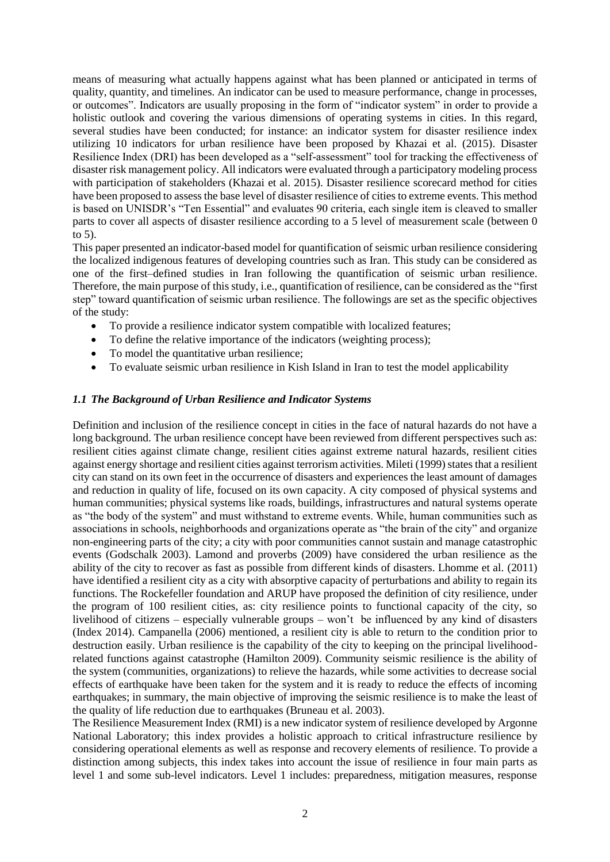means of measuring what actually happens against what has been planned or anticipated in terms of quality, quantity, and timelines. An indicator can be used to measure performance, change in processes, or outcomes". Indicators are usually proposing in the form of "indicator system" in order to provide a holistic outlook and covering the various dimensions of operating systems in cities. In this regard, several studies have been conducted; for instance: an indicator system for disaster resilience index utilizing 10 indicators for urban resilience have been proposed by Khazai et al. (2015). Disaster Resilience Index (DRI) has been developed as a "self-assessment" tool for tracking the effectiveness of disaster risk management policy. All indicators were evaluated through a participatory modeling process with participation of stakeholders (Khazai et al. 2015). Disaster resilience scorecard method for cities have been proposed to assess the base level of disaster resilience of cities to extreme events. This method is based on UNISDR's "Ten Essential" and evaluates 90 criteria, each single item is cleaved to smaller parts to cover all aspects of disaster resilience according to a 5 level of measurement scale (between 0 to 5).

This paper presented an indicator-based model for quantification of seismic urban resilience considering the localized indigenous features of developing countries such as Iran. This study can be considered as one of the first–defined studies in Iran following the quantification of seismic urban resilience. Therefore, the main purpose of this study, i.e., quantification of resilience, can be considered as the "first step" toward quantification of seismic urban resilience. The followings are set as the specific objectives of the study:

- To provide a resilience indicator system compatible with localized features;
- To define the relative importance of the indicators (weighting process);
- To model the quantitative urban resilience:
- To evaluate seismic urban resilience in Kish Island in Iran to test the model applicability

# *1.1 The Background of Urban Resilience and Indicator Systems*

Definition and inclusion of the resilience concept in cities in the face of natural hazards do not have a long background. The urban resilience concept have been reviewed from different perspectives such as: resilient cities against climate change, resilient cities against extreme natural hazards, resilient cities against energy shortage and resilient cities against terrorism activities. Mileti (1999) states that a resilient city can stand on its own feet in the occurrence of disasters and experiences the least amount of damages and reduction in quality of life, focused on its own capacity. A city composed of physical systems and human communities; physical systems like roads, buildings, infrastructures and natural systems operate as "the body of the system" and must withstand to extreme events. While, human communities such as associations in schools, neighborhoods and organizations operate as "the brain of the city" and organize non-engineering parts of the city; a city with poor communities cannot sustain and manage catastrophic events (Godschalk 2003). Lamond and proverbs (2009) have considered the urban resilience as the ability of the city to recover as fast as possible from different kinds of disasters. Lhomme et al. (2011) have identified a resilient city as a city with absorptive capacity of perturbations and ability to regain its functions. The Rockefeller foundation and ARUP have proposed the definition of city resilience, under the program of 100 resilient cities, as: city resilience points to functional capacity of the city, so livelihood of citizens – especially vulnerable groups – won't be influenced by any kind of disasters (Index 2014). Campanella (2006) mentioned, a resilient city is able to return to the condition prior to destruction easily. Urban resilience is the capability of the city to keeping on the principal livelihoodrelated functions against catastrophe (Hamilton 2009). Community seismic resilience is the ability of the system (communities, organizations) to relieve the hazards, while some activities to decrease social effects of earthquake have been taken for the system and it is ready to reduce the effects of incoming earthquakes; in summary, the main objective of improving the seismic resilience is to make the least of the quality of life reduction due to earthquakes (Bruneau et al. 2003).

The Resilience Measurement Index (RMI) is a new indicator system of resilience developed by Argonne National Laboratory; this index provides a holistic approach to critical infrastructure resilience by considering operational elements as well as response and recovery elements of resilience. To provide a distinction among subjects, this index takes into account the issue of resilience in four main parts as level 1 and some sub-level indicators. Level 1 includes: preparedness, mitigation measures, response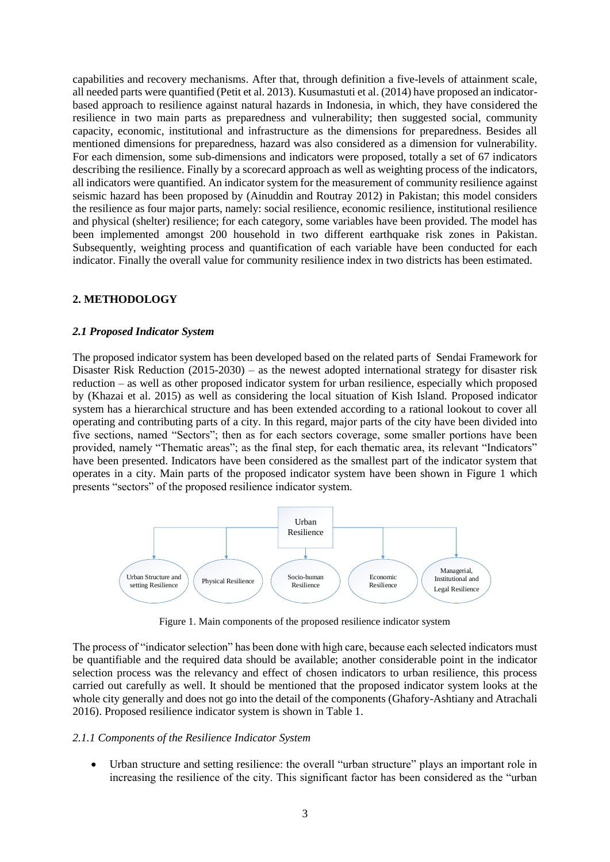capabilities and recovery mechanisms. After that, through definition a five-levels of attainment scale, all needed parts were quantified (Petit et al. 2013). Kusumastuti et al. (2014) have proposed an indicatorbased approach to resilience against natural hazards in Indonesia, in which, they have considered the resilience in two main parts as preparedness and vulnerability; then suggested social, community capacity, economic, institutional and infrastructure as the dimensions for preparedness. Besides all mentioned dimensions for preparedness, hazard was also considered as a dimension for vulnerability. For each dimension, some sub-dimensions and indicators were proposed, totally a set of 67 indicators describing the resilience. Finally by a scorecard approach as well as weighting process of the indicators, all indicators were quantified. An indicator system for the measurement of community resilience against seismic hazard has been proposed by (Ainuddin and Routray 2012) in Pakistan; this model considers the resilience as four major parts, namely: social resilience, economic resilience, institutional resilience and physical (shelter) resilience; for each category, some variables have been provided. The model has been implemented amongst 200 household in two different earthquake risk zones in Pakistan. Subsequently, weighting process and quantification of each variable have been conducted for each indicator. Finally the overall value for community resilience index in two districts has been estimated.

# **2. METHODOLOGY**

### *2.1 Proposed Indicator System*

The proposed indicator system has been developed based on the related parts of Sendai Framework for Disaster Risk Reduction  $(2015{\text -}2030)$  – as the newest adopted international strategy for disaster risk reduction – as well as other proposed indicator system for urban resilience, especially which proposed by (Khazai et al. 2015) as well as considering the local situation of Kish Island. Proposed indicator system has a hierarchical structure and has been extended according to a rational lookout to cover all operating and contributing parts of a city. In this regard, major parts of the city have been divided into five sections, named "Sectors"; then as for each sectors coverage, some smaller portions have been provided, namely "Thematic areas"; as the final step, for each thematic area, its relevant "Indicators" have been presented. Indicators have been considered as the smallest part of the indicator system that operates in a city. Main parts of the proposed indicator system have been shown in Figure 1 which presents "sectors" of the proposed resilience indicator system.



Figure 1. Main components of the proposed resilience indicator system

The process of "indicator selection" has been done with high care, because each selected indicators must be quantifiable and the required data should be available; another considerable point in the indicator selection process was the relevancy and effect of chosen indicators to urban resilience, this process carried out carefully as well. It should be mentioned that the proposed indicator system looks at the whole city generally and does not go into the detail of the components (Ghafory-Ashtiany and Atrachali 2016). Proposed resilience indicator system is shown in Table 1.

#### *2.1.1 Components of the Resilience Indicator System*

 Urban structure and setting resilience: the overall "urban structure" plays an important role in increasing the resilience of the city. This significant factor has been considered as the "urban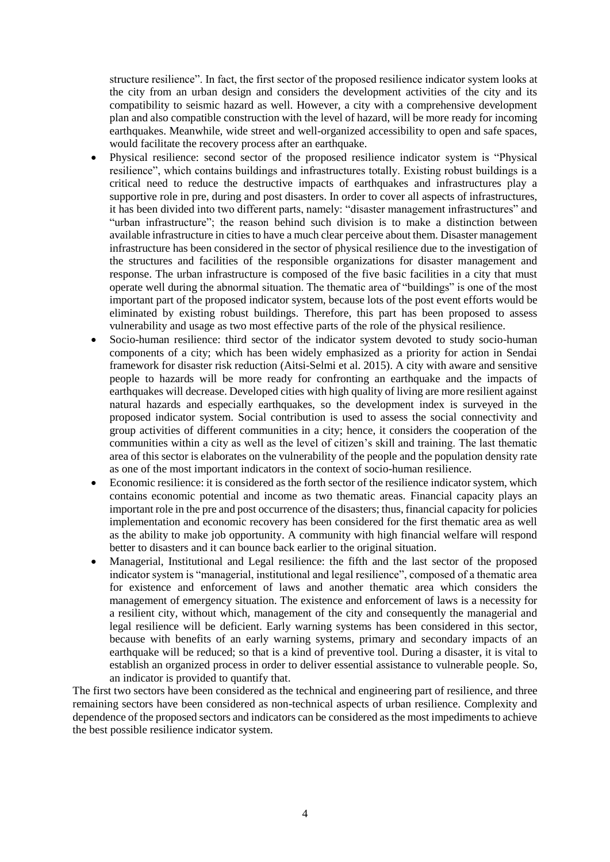structure resilience". In fact, the first sector of the proposed resilience indicator system looks at the city from an urban design and considers the development activities of the city and its compatibility to seismic hazard as well. However, a city with a comprehensive development plan and also compatible construction with the level of hazard, will be more ready for incoming earthquakes. Meanwhile, wide street and well-organized accessibility to open and safe spaces, would facilitate the recovery process after an earthquake.

- Physical resilience: second sector of the proposed resilience indicator system is "Physical resilience", which contains buildings and infrastructures totally. Existing robust buildings is a critical need to reduce the destructive impacts of earthquakes and infrastructures play a supportive role in pre, during and post disasters. In order to cover all aspects of infrastructures, it has been divided into two different parts, namely: "disaster management infrastructures" and "urban infrastructure"; the reason behind such division is to make a distinction between available infrastructure in cities to have a much clear perceive about them. Disaster management infrastructure has been considered in the sector of physical resilience due to the investigation of the structures and facilities of the responsible organizations for disaster management and response. The urban infrastructure is composed of the five basic facilities in a city that must operate well during the abnormal situation. The thematic area of "buildings" is one of the most important part of the proposed indicator system, because lots of the post event efforts would be eliminated by existing robust buildings. Therefore, this part has been proposed to assess vulnerability and usage as two most effective parts of the role of the physical resilience.
- Socio-human resilience: third sector of the indicator system devoted to study socio-human components of a city; which has been widely emphasized as a priority for action in Sendai framework for disaster risk reduction (Aitsi-Selmi et al. 2015). A city with aware and sensitive people to hazards will be more ready for confronting an earthquake and the impacts of earthquakes will decrease. Developed cities with high quality of living are more resilient against natural hazards and especially earthquakes, so the development index is surveyed in the proposed indicator system. Social contribution is used to assess the social connectivity and group activities of different communities in a city; hence, it considers the cooperation of the communities within a city as well as the level of citizen's skill and training. The last thematic area of this sector is elaborates on the vulnerability of the people and the population density rate as one of the most important indicators in the context of socio-human resilience.
- Economic resilience: it is considered as the forth sector of the resilience indicator system, which contains economic potential and income as two thematic areas. Financial capacity plays an important role in the pre and post occurrence of the disasters; thus, financial capacity for policies implementation and economic recovery has been considered for the first thematic area as well as the ability to make job opportunity. A community with high financial welfare will respond better to disasters and it can bounce back earlier to the original situation.
- Managerial, Institutional and Legal resilience: the fifth and the last sector of the proposed indicator system is "managerial, institutional and legal resilience", composed of a thematic area for existence and enforcement of laws and another thematic area which considers the management of emergency situation. The existence and enforcement of laws is a necessity for a resilient city, without which, management of the city and consequently the managerial and legal resilience will be deficient. Early warning systems has been considered in this sector, because with benefits of an early warning systems, primary and secondary impacts of an earthquake will be reduced; so that is a kind of preventive tool. During a disaster, it is vital to establish an organized process in order to deliver essential assistance to vulnerable people. So, an indicator is provided to quantify that.

The first two sectors have been considered as the technical and engineering part of resilience, and three remaining sectors have been considered as non-technical aspects of urban resilience. Complexity and dependence of the proposed sectors and indicators can be considered as the most impediments to achieve the best possible resilience indicator system.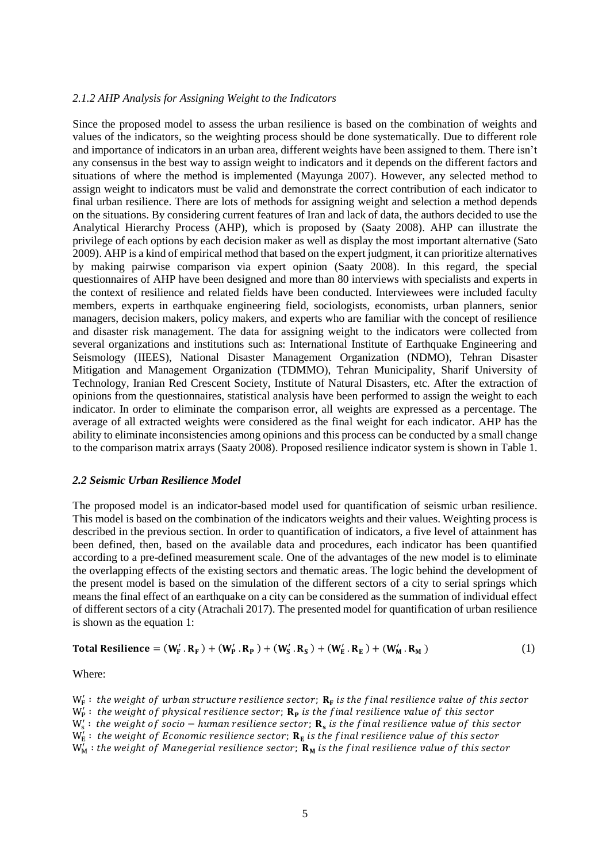#### *2.1.2 AHP Analysis for Assigning Weight to the Indicators*

Since the proposed model to assess the urban resilience is based on the combination of weights and values of the indicators, so the weighting process should be done systematically. Due to different role and importance of indicators in an urban area, different weights have been assigned to them. There isn't any consensus in the best way to assign weight to indicators and it depends on the different factors and situations of where the method is implemented (Mayunga 2007). However, any selected method to assign weight to indicators must be valid and demonstrate the correct contribution of each indicator to final urban resilience. There are lots of methods for assigning weight and selection a method depends on the situations. By considering current features of Iran and lack of data, the authors decided to use the Analytical Hierarchy Process (AHP), which is proposed by (Saaty 2008). AHP can illustrate the privilege of each options by each decision maker as well as display the most important alternative (Sato 2009). AHP is a kind of empirical method that based on the expert judgment, it can prioritize alternatives by making pairwise comparison via expert opinion (Saaty 2008). In this regard, the special questionnaires of AHP have been designed and more than 80 interviews with specialists and experts in the context of resilience and related fields have been conducted. Interviewees were included faculty members, experts in earthquake engineering field, sociologists, economists, urban planners, senior managers, decision makers, policy makers, and experts who are familiar with the concept of resilience and disaster risk management. The data for assigning weight to the indicators were collected from several organizations and institutions such as: International Institute of Earthquake Engineering and Seismology (IIEES), National Disaster Management Organization (NDMO), Tehran Disaster Mitigation and Management Organization (TDMMO), Tehran Municipality, Sharif University of Technology, Iranian Red Crescent Society, Institute of Natural Disasters, etc. After the extraction of opinions from the questionnaires, statistical analysis have been performed to assign the weight to each indicator. In order to eliminate the comparison error, all weights are expressed as a percentage. The average of all extracted weights were considered as the final weight for each indicator. AHP has the ability to eliminate inconsistencies among opinions and this process can be conducted by a small change to the comparison matrix arrays (Saaty 2008). Proposed resilience indicator system is shown in Table 1.

#### *2.2 Seismic Urban Resilience Model*

The proposed model is an indicator-based model used for quantification of seismic urban resilience. This model is based on the combination of the indicators weights and their values. Weighting process is described in the previous section. In order to quantification of indicators, a five level of attainment has been defined, then, based on the available data and procedures, each indicator has been quantified according to a pre-defined measurement scale. One of the advantages of the new model is to eliminate the overlapping effects of the existing sectors and thematic areas. The logic behind the development of the present model is based on the simulation of the different sectors of a city to serial springs which means the final effect of an earthquake on a city can be considered as the summation of individual effect of different sectors of a city (Atrachali 2017). The presented model for quantification of urban resilience is shown as the equation 1:

Total Resilience = 
$$
(W'_F . R_F) + (W'_P . R_P) + (W'_S . R_S) + (W'_E . R_E) + (W'_M . R_M)
$$
 (1)

Where:

 $\bm{\mathsf{W}}_\mathsf{s}'$   $:$  the weight of socio — human resilience sector;  $\mathbf{R}_\mathsf{s}$  is the final resilience value of this sector

 $\text{W}^{\!\!\top}_{\rm M}$  : the weight of Manegerial resilience sector;  $\textbf{R}_{\rm M}$  is the final resilience value of this sector

 $\bm{\mathsf{W}}_{\text{F}}^{\prime}$   $:$  the weight of urban structure resilience sector;  $\bm{\mathsf{R}}_{\text{F}}$  is the final resilience value of this sector

W $_{\rm P}'$   $:$  the weight of physical resilience sector;  $\bf R_{\rm P}$  is the final resilience value of this sector

 $\bm{\mathsf{W}}_\texttt{E}^\prime$  : the weight of Economic resilience sector;  $\bm{\mathsf{R}}_\texttt{E}$  is the final resilience value of this sector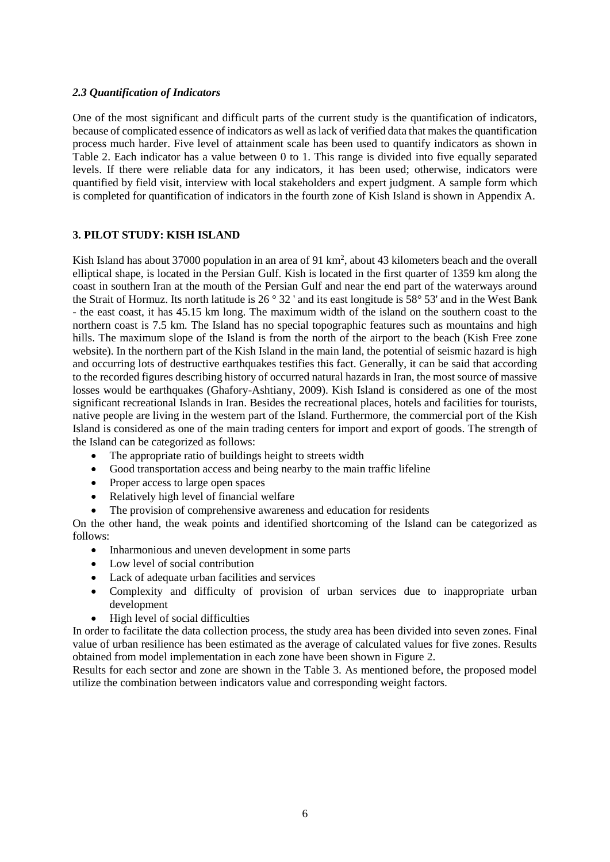# *2.3 Quantification of Indicators*

One of the most significant and difficult parts of the current study is the quantification of indicators, because of complicated essence of indicators as well as lack of verified data that makes the quantification process much harder. Five level of attainment scale has been used to quantify indicators as shown in Table 2. Each indicator has a value between 0 to 1. This range is divided into five equally separated levels. If there were reliable data for any indicators, it has been used; otherwise, indicators were quantified by field visit, interview with local stakeholders and expert judgment. A sample form which is completed for quantification of indicators in the fourth zone of Kish Island is shown in Appendix A.

# **3. PILOT STUDY: KISH ISLAND**

Kish Island has about 37000 population in an area of 91 km<sup>2</sup>, about 43 kilometers beach and the overall elliptical shape, is located in the Persian Gulf. Kish is located in the first quarter of 1359 km along the coast in southern Iran at the mouth of the Persian Gulf and near the end part of the waterways around the Strait of Hormuz. Its north latitude is 26 ° 32 ' and its east longitude is 58° 53' and in the West Bank - the east coast, it has 45.15 km long. The maximum width of the island on the southern coast to the northern coast is 7.5 km. The Island has no special topographic features such as mountains and high hills. The maximum slope of the Island is from the north of the airport to the beach (Kish Free zone website). In the northern part of the Kish Island in the main land, the potential of seismic hazard is high and occurring lots of destructive earthquakes testifies this fact. Generally, it can be said that according to the recorded figures describing history of occurred natural hazards in Iran, the most source of massive losses would be earthquakes (Ghafory-Ashtiany, 2009). Kish Island is considered as one of the most significant recreational Islands in Iran. Besides the recreational places, hotels and facilities for tourists, native people are living in the western part of the Island. Furthermore, the commercial port of the Kish Island is considered as one of the main trading centers for import and export of goods. The strength of the Island can be categorized as follows:

- The appropriate ratio of buildings height to streets width
- Good transportation access and being nearby to the main traffic lifeline
- Proper access to large open spaces
- Relatively high level of financial welfare
- The provision of comprehensive awareness and education for residents

On the other hand, the weak points and identified shortcoming of the Island can be categorized as follows:

- Inharmonious and uneven development in some parts
- Low level of social contribution
- Lack of adequate urban facilities and services
- Complexity and difficulty of provision of urban services due to inappropriate urban development
- $\bullet$  High level of social difficulties

In order to facilitate the data collection process, the study area has been divided into seven zones. Final value of urban resilience has been estimated as the average of calculated values for five zones. Results obtained from model implementation in each zone have been shown in Figure 2.

Results for each sector and zone are shown in the Table 3. As mentioned before, the proposed model utilize the combination between indicators value and corresponding weight factors.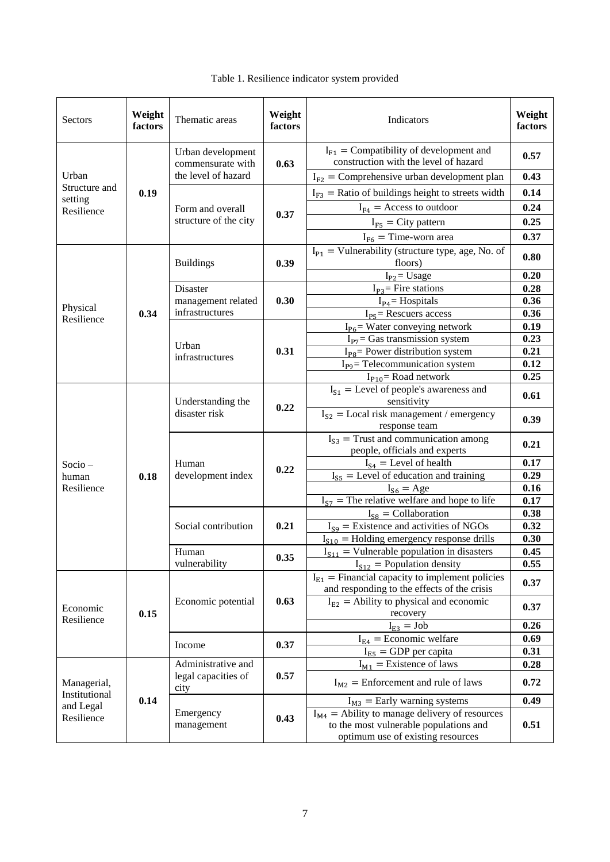| Sectors                                         | Weight<br>factors | Thematic areas                            | Weight<br>factors | Indicators                                                                                                                        | Weight<br>factors |
|-------------------------------------------------|-------------------|-------------------------------------------|-------------------|-----------------------------------------------------------------------------------------------------------------------------------|-------------------|
| Urban<br>Structure and<br>setting<br>Resilience |                   | Urban development<br>commensurate with    | 0.63              | $I_{F1}$ = Compatibility of development and<br>construction with the level of hazard                                              | 0.57              |
|                                                 |                   | the level of hazard                       |                   | $I_{F2}$ = Comprehensive urban development plan                                                                                   | 0.43              |
|                                                 | 0.19              |                                           |                   | $I_{F3}$ = Ratio of buildings height to streets width                                                                             | 0.14              |
|                                                 |                   | Form and overall<br>structure of the city | 0.37              | $I_{F4}$ = Access to outdoor                                                                                                      | 0.24              |
|                                                 |                   |                                           |                   | $I_{F5}$ = City pattern                                                                                                           | 0.25              |
|                                                 |                   |                                           |                   | $I_{F6}$ = Time-worn area                                                                                                         | 0.37              |
|                                                 |                   | <b>Buildings</b>                          | 0.39              | $I_{P1}$ = Vulnerability (structure type, age, No. of<br>floors)                                                                  | 0.80              |
|                                                 |                   |                                           |                   | $I_{P2}$ Usage                                                                                                                    | 0.20              |
|                                                 |                   | Disaster<br>management related            | 0.30              | $I_{P3}$ = Fire stations                                                                                                          | 0.28              |
| Physical                                        |                   |                                           |                   | $I_{P4}$ = Hospitals                                                                                                              | 0.36              |
| Resilience                                      | 0.34              | infrastructures                           |                   | $I_{P5}$ = Rescuers access                                                                                                        | 0.36              |
|                                                 |                   |                                           |                   | $I_{P6}$ = Water conveying network                                                                                                | 0.19              |
|                                                 |                   | Urban                                     | 0.31              | $I_{P7}$ Gas transmission system<br>$I_{\text{P8}}$ Power distribution system                                                     | 0.23<br>0.21      |
|                                                 |                   | infrastructures                           |                   | $I_{\text{pg}}$ = Telecommunication system                                                                                        | 0.12              |
|                                                 |                   |                                           |                   | $I_{P10}$ Road network                                                                                                            | 0.25              |
|                                                 | 0.18              | Understanding the<br>disaster risk        | 0.22              | $I_{S1}$ = Level of people's awareness and<br>sensitivity                                                                         | 0.61              |
|                                                 |                   |                                           |                   | $I_{S2}$ = Local risk management / emergency<br>response team                                                                     | 0.39              |
|                                                 |                   | Human<br>development index                | 0.22              | $I_{S3}$ = Trust and communication among<br>people, officials and experts                                                         | 0.21              |
| $Socio -$                                       |                   |                                           |                   | $I_{S4}$ = Level of health                                                                                                        | 0.17              |
| human                                           |                   |                                           |                   | $I_{S5}$ = Level of education and training                                                                                        | 0.29              |
| Resilience                                      |                   |                                           |                   | $I_{S6} = Age$                                                                                                                    | 0.16              |
|                                                 |                   |                                           |                   | $I_{S7}$ = The relative welfare and hope to life                                                                                  | 0.17              |
|                                                 |                   | Social contribution                       | 0.21              | $I_{S8} =$ Collaboration                                                                                                          | 0.38              |
|                                                 |                   |                                           |                   | $I_{S9}$ = Existence and activities of NGOs                                                                                       | 0.32              |
|                                                 |                   |                                           |                   | $I_{S10}$ = Holding emergency response drills<br>$I_{S11}$ = Vulnerable population in disasters                                   | 0.30              |
|                                                 |                   | Human<br>vulnerability                    | 0.35              | $I_{S12}$ = Population density                                                                                                    | 0.45<br>0.55      |
|                                                 | 0.15              | Economic potential                        | 0.63              | $I_{E1}$ = Financial capacity to implement policies<br>and responding to the effects of the crisis                                | 0.37              |
| Economic<br>Resilience                          |                   |                                           |                   | $I_{E2}$ = Ability to physical and economic<br>recovery                                                                           | 0.37              |
|                                                 |                   |                                           |                   | $I_{E3} = Job$                                                                                                                    | 0.26              |
|                                                 |                   |                                           |                   | $I_{E4}$ = Economic welfare                                                                                                       | 0.69              |
|                                                 |                   | Income                                    | 0.37              | $I_{E5}$ = GDP per capita                                                                                                         | 0.31              |
| Managerial,                                     |                   | Administrative and                        | 0.57              | $I_{M1}$ = Existence of laws                                                                                                      | 0.28              |
|                                                 |                   | legal capacities of<br>city               |                   | $I_{M2}$ = Enforcement and rule of laws                                                                                           | 0.72              |
| Institutional<br>and Legal                      | 0.14              |                                           |                   | $I_{M3}$ = Early warning systems                                                                                                  | 0.49              |
| Resilience                                      |                   | Emergency<br>management                   | 0.43              | $I_{M4}$ = Ability to manage delivery of resources<br>to the most vulnerable populations and<br>optimum use of existing resources | 0.51              |

# Table 1. Resilience indicator system provided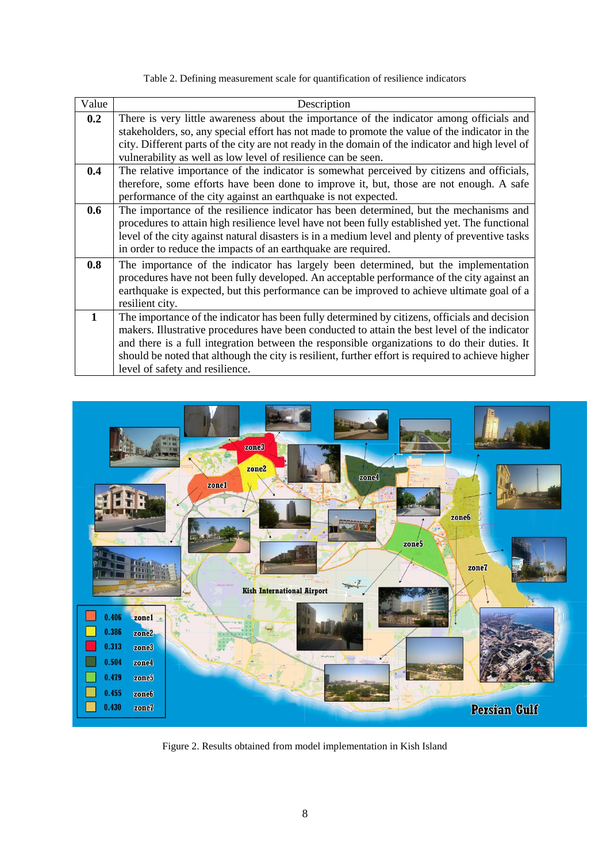| Value        | Description                                                                                                                                                                                                                                                                                                                                                                                                                            |
|--------------|----------------------------------------------------------------------------------------------------------------------------------------------------------------------------------------------------------------------------------------------------------------------------------------------------------------------------------------------------------------------------------------------------------------------------------------|
| 0.2          | There is very little awareness about the importance of the indicator among officials and<br>stakeholders, so, any special effort has not made to promote the value of the indicator in the                                                                                                                                                                                                                                             |
|              | city. Different parts of the city are not ready in the domain of the indicator and high level of<br>vulnerability as well as low level of resilience can be seen.                                                                                                                                                                                                                                                                      |
| 0.4          | The relative importance of the indicator is somewhat perceived by citizens and officials,<br>therefore, some efforts have been done to improve it, but, those are not enough. A safe<br>performance of the city against an earthquake is not expected.                                                                                                                                                                                 |
| 0.6          | The importance of the resilience indicator has been determined, but the mechanisms and<br>procedures to attain high resilience level have not been fully established yet. The functional<br>level of the city against natural disasters is in a medium level and plenty of preventive tasks<br>in order to reduce the impacts of an earthquake are required.                                                                           |
| 0.8          | The importance of the indicator has largely been determined, but the implementation<br>procedures have not been fully developed. An acceptable performance of the city against an<br>earthquake is expected, but this performance can be improved to achieve ultimate goal of a<br>resilient city.                                                                                                                                     |
| $\mathbf{1}$ | The importance of the indicator has been fully determined by citizens, officials and decision<br>makers. Illustrative procedures have been conducted to attain the best level of the indicator<br>and there is a full integration between the responsible organizations to do their duties. It<br>should be noted that although the city is resilient, further effort is required to achieve higher<br>level of safety and resilience. |

Table 2. Defining measurement scale for quantification of resilience indicators



Figure 2. Results obtained from model implementation in Kish Island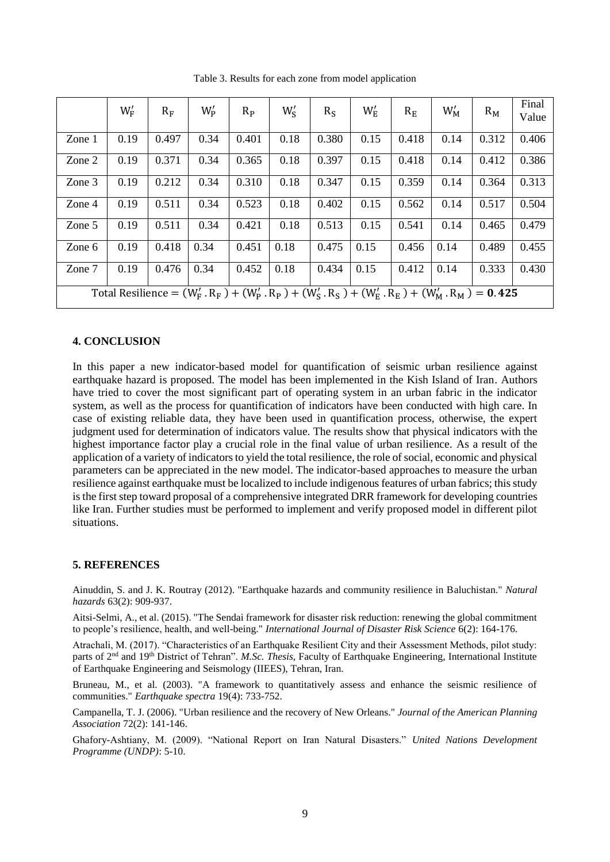|                                                                                                                              | $W'_{F}$ | $R_F$ | $W'_{P}$ | $R_{P}$ | $W'_{S}$ | $R_S$ | $W_{\rm E}^{\prime}$ | $R_{E}$ | $W'_{M}$ | $R_{M}$ | Final<br>Value |
|------------------------------------------------------------------------------------------------------------------------------|----------|-------|----------|---------|----------|-------|----------------------|---------|----------|---------|----------------|
| Zone 1                                                                                                                       | 0.19     | 0.497 | 0.34     | 0.401   | 0.18     | 0.380 | 0.15                 | 0.418   | 0.14     | 0.312   | 0.406          |
| Zone 2                                                                                                                       | 0.19     | 0.371 | 0.34     | 0.365   | 0.18     | 0.397 | 0.15                 | 0.418   | 0.14     | 0.412   | 0.386          |
| Zone 3                                                                                                                       | 0.19     | 0.212 | 0.34     | 0.310   | 0.18     | 0.347 | 0.15                 | 0.359   | 0.14     | 0.364   | 0.313          |
| Zone 4                                                                                                                       | 0.19     | 0.511 | 0.34     | 0.523   | 0.18     | 0.402 | 0.15                 | 0.562   | 0.14     | 0.517   | 0.504          |
| Zone 5                                                                                                                       | 0.19     | 0.511 | 0.34     | 0.421   | 0.18     | 0.513 | 0.15                 | 0.541   | 0.14     | 0.465   | 0.479          |
| Zone 6                                                                                                                       | 0.19     | 0.418 | 0.34     | 0.451   | 0.18     | 0.475 | 0.15                 | 0.456   | 0.14     | 0.489   | 0.455          |
| Zone 7                                                                                                                       | 0.19     | 0.476 | 0.34     | 0.452   | 0.18     | 0.434 | 0.15                 | 0.412   | 0.14     | 0.333   | 0.430          |
| Total Resilience = $(W_F'$ . $R_F$ ) + $(W_P'$ . $R_P$ ) + $(W_S'$ . $R_S$ ) + $(W_E'$ . $R_E$ ) + $(W_M'$ . $R_M$ ) = 0.425 |          |       |          |         |          |       |                      |         |          |         |                |

Table 3. Results for each zone from model application

# **4. CONCLUSION**

In this paper a new indicator-based model for quantification of seismic urban resilience against earthquake hazard is proposed. The model has been implemented in the Kish Island of Iran. Authors have tried to cover the most significant part of operating system in an urban fabric in the indicator system, as well as the process for quantification of indicators have been conducted with high care. In case of existing reliable data, they have been used in quantification process, otherwise, the expert judgment used for determination of indicators value. The results show that physical indicators with the highest importance factor play a crucial role in the final value of urban resilience. As a result of the application of a variety of indicators to yield the total resilience, the role of social, economic and physical parameters can be appreciated in the new model. The indicator-based approaches to measure the urban resilience against earthquake must be localized to include indigenous features of urban fabrics; this study is the first step toward proposal of a comprehensive integrated DRR framework for developing countries like Iran. Further studies must be performed to implement and verify proposed model in different pilot situations.

#### **5. REFERENCES**

Ainuddin, S. and J. K. Routray (2012). "Earthquake hazards and community resilience in Baluchistan." *Natural hazards* 63(2): 909-937.

Aitsi-Selmi, A., et al. (2015). "The Sendai framework for disaster risk reduction: renewing the global commitment to people's resilience, health, and well-being." *International Journal of Disaster Risk Science* 6(2): 164-176.

Atrachali, M. (2017). "Characteristics of an Earthquake Resilient City and their Assessment Methods, pilot study: parts of 2nd and 19th District of Tehran". *M.Sc. Thesis,* Faculty of Earthquake Engineering, International Institute of Earthquake Engineering and Seismology (IIEES), Tehran, Iran.

Bruneau, M., et al. (2003). "A framework to quantitatively assess and enhance the seismic resilience of communities." *Earthquake spectra* 19(4): 733-752.

Campanella, T. J. (2006). "Urban resilience and the recovery of New Orleans." *Journal of the American Planning Association* 72(2): 141-146.

Ghafory-Ashtiany, M. (2009). "National Report on Iran Natural Disasters." *United Nations Development Programme (UNDP)*: 5-10.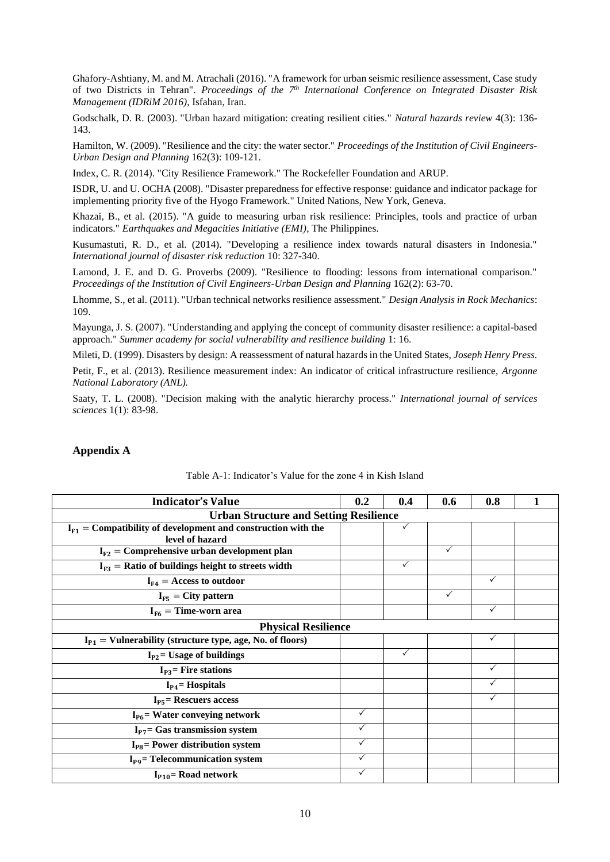Ghafory-Ashtiany, M. and M. Atrachali (2016). "A framework for urban seismic resilience assessment, Case study of two Districts in Tehran". *Proceedings of the 7th International Conference on Integrated Disaster Risk Management (IDRiM 2016)*, Isfahan, Iran.

Godschalk, D. R. (2003). "Urban hazard mitigation: creating resilient cities." *Natural hazards review* 4(3): 136- 143.

Hamilton, W. (2009). "Resilience and the city: the water sector." *Proceedings of the Institution of Civil Engineers-Urban Design and Planning* 162(3): 109-121.

Index, C. R. (2014). "City Resilience Framework." The Rockefeller Foundation and ARUP.

ISDR, U. and U. OCHA (2008). "Disaster preparedness for effective response: guidance and indicator package for implementing priority five of the Hyogo Framework." United Nations, New York, Geneva.

Khazai, B., et al. (2015). "A guide to measuring urban risk resilience: Principles, tools and practice of urban indicators." *Earthquakes and Megacities Initiative (EMI)*, The Philippines.

Kusumastuti, R. D., et al. (2014). "Developing a resilience index towards natural disasters in Indonesia." *International journal of disaster risk reduction* 10: 327-340.

Lamond, J. E. and D. G. Proverbs (2009). "Resilience to flooding: lessons from international comparison." *Proceedings of the Institution of Civil Engineers-Urban Design and Planning* 162(2): 63-70.

Lhomme, S., et al. (2011). "Urban technical networks resilience assessment." *Design Analysis in Rock Mechanics*: 109.

Mayunga, J. S. (2007). "Understanding and applying the concept of community disaster resilience: a capital-based approach." *Summer academy for social vulnerability and resilience building* 1: 16.

Mileti, D. (1999). Disasters by design: A reassessment of natural hazards in the United States, *Joseph Henry Press*.

Petit, F., et al. (2013). Resilience measurement index: An indicator of critical infrastructure resilience, *Argonne National Laboratory (ANL).*

Saaty, T. L. (2008). "Decision making with the analytic hierarchy process." *International journal of services sciences* 1(1): 83-98.

#### **Appendix A**

| <b>Indicator's Value</b>                                                             | 0.2          | 0.4          | 0.6          | 0.8          |  |  |  |
|--------------------------------------------------------------------------------------|--------------|--------------|--------------|--------------|--|--|--|
| <b>Urban Structure and Setting Resilience</b>                                        |              |              |              |              |  |  |  |
| $I_{F1}$ = Compatibility of development and construction with the<br>level of hazard |              | $\checkmark$ |              |              |  |  |  |
| $I_{F2}$ = Comprehensive urban development plan                                      |              |              | ✓            |              |  |  |  |
| $I_{F3}$ = Ratio of buildings height to streets width                                |              | ✓            |              |              |  |  |  |
| $I_{F4}$ = Access to outdoor                                                         |              |              |              | $\checkmark$ |  |  |  |
| $I_{F5}$ = City pattern                                                              |              |              | $\checkmark$ |              |  |  |  |
| $I_{F6}$ = Time-worn area                                                            |              |              |              | $\checkmark$ |  |  |  |
| <b>Physical Resilience</b>                                                           |              |              |              |              |  |  |  |
| $I_{P1}$ = Vulnerability (structure type, age, No. of floors)                        |              |              |              | $\checkmark$ |  |  |  |
| $I_{P2}$ Usage of buildings                                                          |              | ✓            |              |              |  |  |  |
| $I_{P3}$ Fire stations                                                               |              |              |              |              |  |  |  |
| $I_{P4}$ = Hospitals                                                                 |              |              |              |              |  |  |  |
| $I_{PS}$ Rescuers access                                                             |              |              |              |              |  |  |  |
| $I_{P6}$ = Water conveying network                                                   | $\checkmark$ |              |              |              |  |  |  |
| $I_{P7}$ = Gas transmission system                                                   | ✓            |              |              |              |  |  |  |
| $I_{\text{P8}}$ = Power distribution system                                          | ✓            |              |              |              |  |  |  |
| $I_{pq}$ = Telecommunication system                                                  | ✓            |              |              |              |  |  |  |
| $I_{P10}$ = Road network                                                             | ✓            |              |              |              |  |  |  |

#### Table A-1: Indicator's Value for the zone 4 in Kish Island